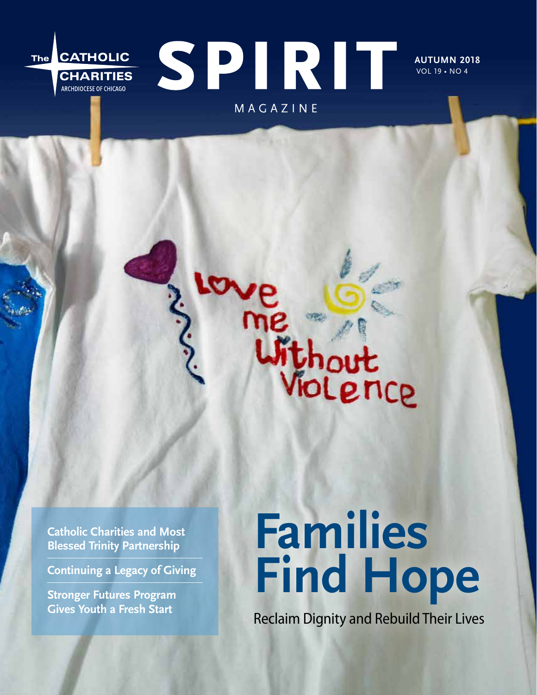# SPIRIT The CATHOLIC **CHARITIES**<br>ARCHDIOCESE OF CHICAGO MAGAZINE

**AUTUMN 2018** VOL 19 • NO 4

**Catholic Charities and Most Blessed Trinity Partnership** 

**Continuing a Legacy of Giving**

**Stronger Futures Program Gives Youth a Fresh Start**

# **Families Find Hope**

me<br>Without<br>Violence

Reclaim Dignity and Rebuild Their Lives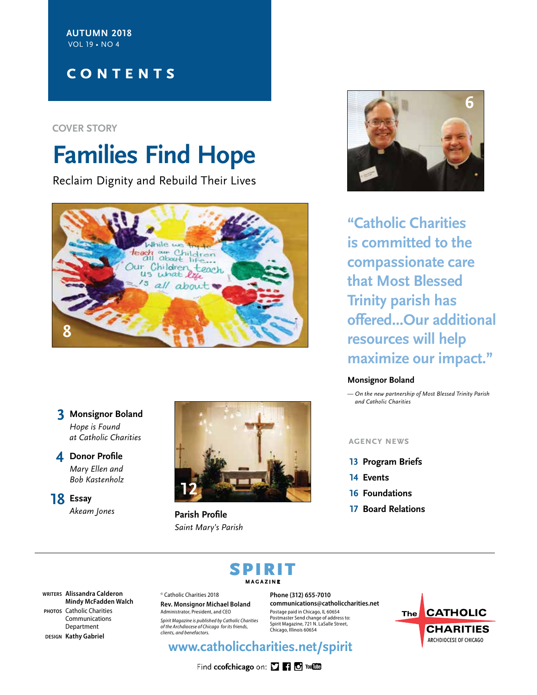**AUTUMN 2018** VOL 19 • NO 4

## **CONTENTS**

#### **COVER STORY**

# **Families Find Hope**

Reclaim Dignity and Rebuild Their Lives



#### **3 Monsignor Boland** *Hope is Found at Catholic Charities*

#### **4 Donor Profile** *Mary Ellen and Bob Kastenholz*

**18 Essay** *Akeam Jones* 



**Parish Profile** *Saint Mary's Parish*



**"Catholic Charities is committed to the compassionate care that Most Blessed Trinity parish has offered...Our additional resources will help maximize our impact."**

#### **Monsignor Boland**

*— On the new partnership of Most Blessed Trinity Parish and Catholic Charities*

#### **agency news**

- **13 Program Briefs**
- **14 Events**
- **16 Foundations**
- **17 Board Relations**

# SPIRIT **MAGAZINE**

**WRITERS Alissandra Calderon Mindy McFadden Walch PHOTOS** Catholic Charities Communications Department

**DESIGN Kathy Gabriel**

© Catholic Charities 2018 **Rev. Monsignor Michael Boland**

Administrator, President, and CEO *Spirit Magazine is published by Catholic Charities of the Archdiocese of Chicago for its friends, clients, and benefactors.*

**Phone (312) 655-7010 communications@catholiccharities.net** Postage paid in Chicago, IL 60654 Postmaster Send change of address to: Spirit Magazine, 721 N. LaSalle Street, Chicago, Illinois 60654

## **www.catholiccharities.net/spirit**

Find ccofchicago on: [] [] [] You [1]

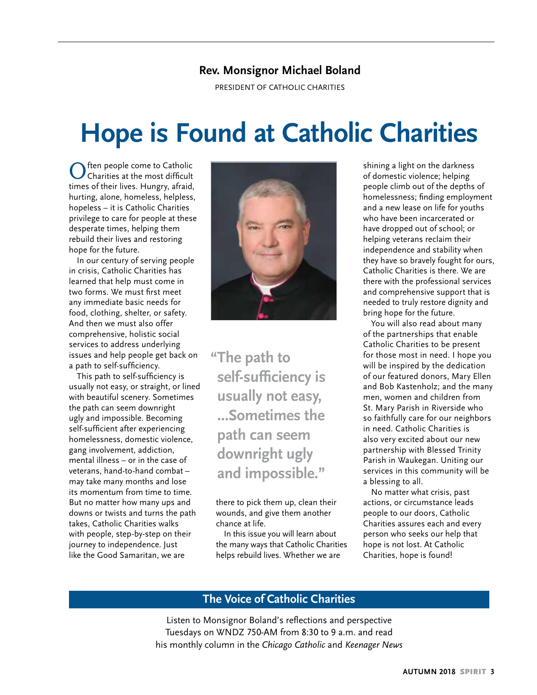#### **Rev. Monsignor Michael Boland**

PRESIDENT OF CATHOLIC CHARITIES

# **Hope is Found at Catholic Charities**

ften people come to Catholic Charities at the most difficult times of their lives. Hungry, afraid, hurting, alone, homeless, helpless, hopeless – it is Catholic Charities privilege to care for people at these desperate times, helping them rebuild their lives and restoring hope for the future.

In our century of serving people in crisis, Catholic Charities has learned that help must come in two forms. We must first meet any immediate basic needs for food, clothing, shelter, or safety. And then we must also offer comprehensive, holistic social services to address underlying issues and help people get back on a path to self-sufficiency.

This path to self-sufficiency is usually not easy, or straight, or lined with beautiful scenery. Sometimes the path can seem downright ugly and impossible. Becoming self-sufficient after experiencing homelessness, domestic violence, gang involvement, addiction, mental illness – or in the case of veterans, hand-to-hand combat – may take many months and lose its momentum from time to time. But no matter how many ups and downs or twists and turns the path takes, Catholic Charities walks with people, step-by-step on their journey to independence. Just like the Good Samaritan, we are



**"The path to self-sufficiency is usually not easy, ...Sometimes the path can seem downright ugly and impossible."**

there to pick them up, clean their wounds, and give them another chance at life.

In this issue you will learn about the many ways that Catholic Charities helps rebuild lives. Whether we are

shining a light on the darkness of domestic violence; helping people climb out of the depths of homelessness; finding employment and a new lease on life for youths who have been incarcerated or have dropped out of school; or helping veterans reclaim their independence and stability when they have so bravely fought for ours, Catholic Charities is there. We are there with the professional services and comprehensive support that is needed to truly restore dignity and bring hope for the future.

You will also read about many of the partnerships that enable Catholic Charities to be present for those most in need. I hope you will be inspired by the dedication of our featured donors, Mary Ellen and Bob Kastenholz; and the many men, women and children from St. Mary Parish in Riverside who so faithfully care for our neighbors in need. Catholic Charities is also very excited about our new partnership with Blessed Trinity Parish in Waukegan. Uniting our services in this community will be a blessing to all.

No matter what crisis, past actions, or circumstance leads people to our doors, Catholic Charities assures each and every person who seeks our help that hope is not lost. At Catholic Charities, hope is found!

#### **The Voice of Catholic Charities**

Listen to Monsignor Boland's reflections and perspective Tuesdays on WNDZ 750-AM from 8:30 to 9 a.m. and read his monthly column in the *Chicago Catholic* and *Keenager News*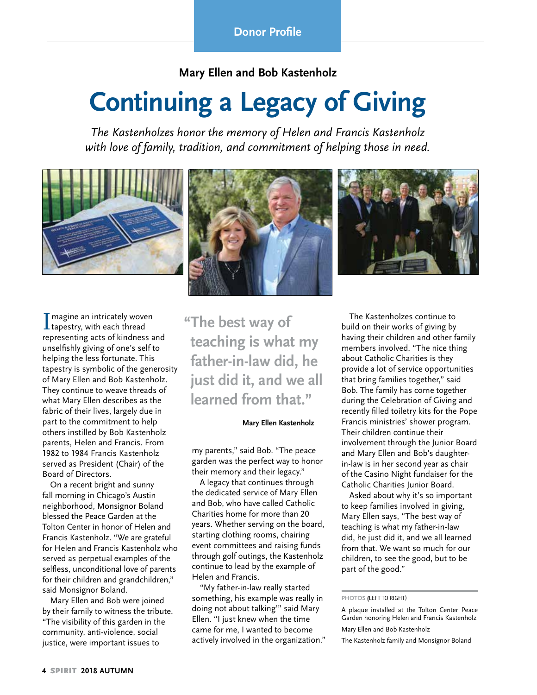**Mary Ellen and Bob Kastenholz**

# **Continuing a Legacy of Giving**

*The Kastenholzes honor the memory of Helen and Francis Kastenholz with love of family, tradition, and commitment of helping those in need.*



 $\begin{array}{l} \prod \mathsf{magine} \text{ an intricately wove} \\ \text{tapestry, with each thread} \end{array}$ magine an intricately woven representing acts of kindness and unselfishly giving of one's self to helping the less fortunate. This tapestry is symbolic of the generosity of Mary Ellen and Bob Kastenholz. They continue to weave threads of what Mary Ellen describes as the fabric of their lives, largely due in part to the commitment to help others instilled by Bob Kastenholz parents, Helen and Francis. From 1982 to 1984 Francis Kastenholz served as President (Chair) of the Board of Directors.

On a recent bright and sunny fall morning in Chicago's Austin neighborhood, Monsignor Boland blessed the Peace Garden at the Tolton Center in honor of Helen and Francis Kastenholz. "We are grateful for Helen and Francis Kastenholz who served as perpetual examples of the selfless, unconditional love of parents for their children and grandchildren," said Monsignor Boland.

Mary Ellen and Bob were joined by their family to witness the tribute. "The visibility of this garden in the community, anti-violence, social justice, were important issues to

**"The best way of teaching is what my father-in-law did, he just did it, and we all learned from that."**

#### **Mary Ellen Kastenholz**

my parents," said Bob. "The peace garden was the perfect way to honor their memory and their legacy."

A legacy that continues through the dedicated service of Mary Ellen and Bob, who have called Catholic Charities home for more than 20 years. Whether serving on the board, starting clothing rooms, chairing event committees and raising funds through golf outings, the Kastenholz continue to lead by the example of Helen and Francis.

"My father-in-law really started something, his example was really in doing not about talking'" said Mary Ellen. "I just knew when the time came for me, I wanted to become actively involved in the organization."

The Kastenholzes continue to build on their works of giving by having their children and other family members involved. "The nice thing about Catholic Charities is they provide a lot of service opportunities that bring families together," said Bob. The family has come together during the Celebration of Giving and recently filled toiletry kits for the Pope Francis ministries' shower program. Their children continue their involvement through the Junior Board and Mary Ellen and Bob's daughterin-law is in her second year as chair of the Casino Night fundaiser for the Catholic Charities Junior Board.

Asked about why it's so important to keep families involved in giving, Mary Ellen says, "The best way of teaching is what my father-in-law did, he just did it, and we all learned from that. We want so much for our children, to see the good, but to be part of the good."

#### **PHOTOS (**LEFT TO RIGHT)

A plaque installed at the Tolton Center Peace Garden honoring Helen and Francis Kastenholz

Mary Ellen and Bob Kastenholz

The Kastenholz family and Monsignor Boland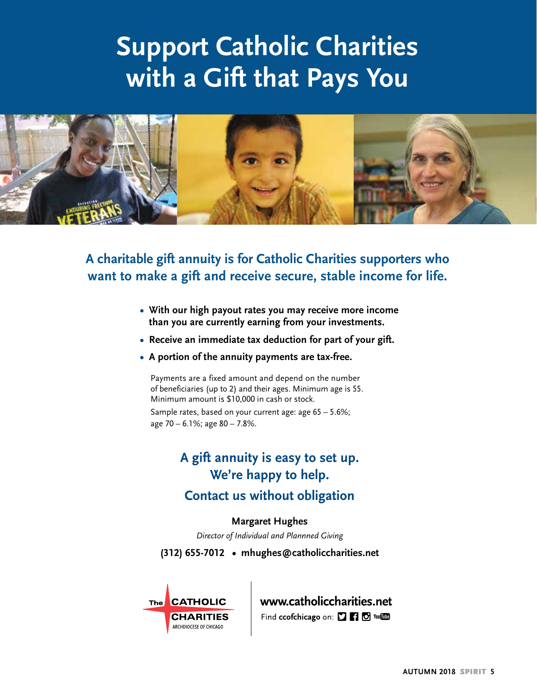# **Support Catholic Charities with a Gift that Pays You**



**A charitable gift annuity is for Catholic Charities supporters who want to make a gift and receive secure, stable income for life.**

- **With our high payout rates you may receive more income than you are currently earning from your investments.**
- **• Receive an immediate tax deduction for part of your gift.**
- **• A portion of the annuity payments are tax-free.**

Payments are a fixed amount and depend on the number of beneficiaries (up to 2) and their ages. Minimum age is 55. Minimum amount is \$10,000 in cash or stock.

Sample rates, based on your current age: age 65 – 5.6%; age 70 – 6.1%; age 80 – 7.8%.

# **A gift annuity is easy to set up. We're happy to help.**

## **Contact us without obligation**

#### **Margaret Hughes**

*Director of Individual and Plannned Giving*

**(312) 655-7012 • mhughes@catholiccharities.net**



www.catholiccharities.net

Find ccofchicago on: **DF1 O** You **COD**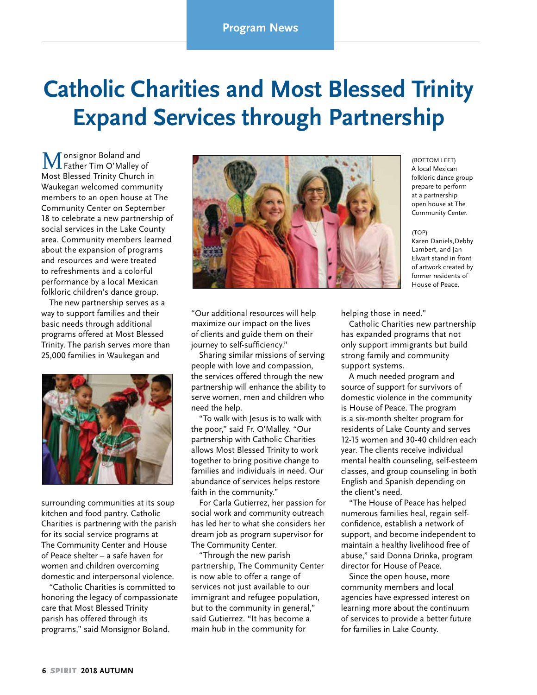# **Catholic Charities and Most Blessed Trinity Expand Services through Partnership**

Monsignor Boland and<br>Father Tim O'Malley of Most Blessed Trinity Church in Waukegan welcomed community members to an open house at The Community Center on September 18 to celebrate a new partnership of social services in the Lake County area. Community members learned about the expansion of programs and resources and were treated to refreshments and a colorful performance by a local Mexican folkloric children's dance group.

The new partnership serves as a way to support families and their basic needs through additional programs offered at Most Blessed Trinity. The parish serves more than 25,000 families in Waukegan and



surrounding communities at its soup kitchen and food pantry. Catholic Charities is partnering with the parish for its social service programs at The Community Center and House of Peace shelter – a safe haven for women and children overcoming domestic and interpersonal violence.

"Catholic Charities is committed to honoring the legacy of compassionate care that Most Blessed Trinity parish has offered through its programs," said Monsignor Boland.



"Our additional resources will help maximize our impact on the lives of clients and guide them on their journey to self-sufficiency."

Sharing similar missions of serving people with love and compassion, the services offered through the new partnership will enhance the ability to serve women, men and children who need the help.

"To walk with Jesus is to walk with the poor," said Fr. O'Malley. "Our partnership with Catholic Charities allows Most Blessed Trinity to work together to bring positive change to families and individuals in need. Our abundance of services helps restore faith in the community."

For Carla Gutierrez, her passion for social work and community outreach has led her to what she considers her dream job as program supervisor for The Community Center.

"Through the new parish partnership, The Community Center is now able to offer a range of services not just available to our immigrant and refugee population, but to the community in general," said Gutierrez. "It has become a main hub in the community for

(BOTTOM LEFT) A local Mexican folkloric dance group prepare to perform at a partnership open house at The Community Center.

(TOP) Karen Daniels,Debby Lambert, and Jan Elwart stand in front of artwork created by former residents of House of Peace.

helping those in need."

Catholic Charities new partnership has expanded programs that not only support immigrants but build strong family and community support systems.

A much needed program and source of support for survivors of domestic violence in the community is House of Peace. The program is a six-month shelter program for residents of Lake County and serves 12-15 women and 30-40 children each year. The clients receive individual mental health counseling, self-esteem classes, and group counseling in both English and Spanish depending on the client's need.

"The House of Peace has helped numerous families heal, regain selfconfidence, establish a network of support, and become independent to maintain a healthy livelihood free of abuse," said Donna Drinka, program director for House of Peace.

Since the open house, more community members and local agencies have expressed interest on learning more about the continuum of services to provide a better future for families in Lake County.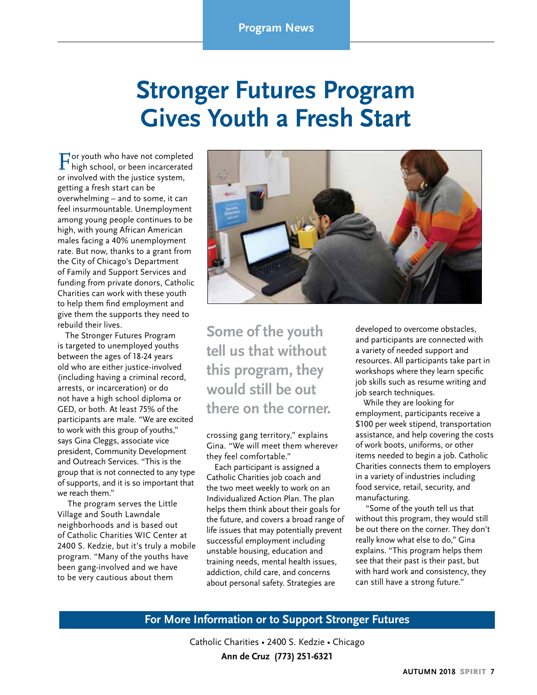# **Stronger Futures Program Gives Youth a Fresh Start**

or youth who have not completed high school, or been incarcerated or involved with the justice system, getting a fresh start can be overwhelming – and to some, it can feel insurmountable. Unemployment among young people continues to be high, with young African American males facing a 40% unemployment rate. But now, thanks to a grant from the City of Chicago's Department of Family and Support Services and funding from private donors, Catholic Charities can work with these youth to help them find employment and give them the supports they need to rebuild their lives.

The Stronger Futures Program is targeted to unemployed youths between the ages of 18-24 years old who are either justice-involved (including having a criminal record, arrests, or incarceration) or do not have a high school diploma or GED, or both. At least 75% of the participants are male. "We are excited to work with this group of youths," says Gina Cleggs, associate vice president, Community Development and Outreach Services. "This is the group that is not connected to any type of supports, and it is so important that we reach them."

 The program serves the Little Village and South Lawndale neighborhoods and is based out of Catholic Charities WIC Center at 2400 S. Kedzie, but it's truly a mobile program. "Many of the youths have been gang-involved and we have to be very cautious about them



**Some of the youth tell us that without this program, they would still be out there on the corner.** 

crossing gang territory," explains Gina. "We will meet them wherever they feel comfortable."

Each participant is assigned a Catholic Charities job coach and the two meet weekly to work on an Individualized Action Plan. The plan helps them think about their goals for the future, and covers a broad range of life issues that may potentially prevent successful employment including unstable housing, education and training needs, mental health issues, addiction, child care, and concerns about personal safety. Strategies are

developed to overcome obstacles, and participants are connected with a variety of needed support and resources. All participants take part in workshops where they learn specific job skills such as resume writing and job search techniques.

While they are looking for employment, participants receive a \$100 per week stipend, transportation assistance, and help covering the costs of work boots, uniforms, or other items needed to begin a job. Catholic Charities connects them to employers in a variety of industries including food service, retail, security, and manufacturing.

 "Some of the youth tell us that without this program, they would still be out there on the corner. They don't really know what else to do," Gina explains. "This program helps them see that their past is their past, but with hard work and consistency, they can still have a strong future."

#### **For More Information or to Support Stronger Futures**

Catholic Charities • 2400 S. Kedzie • Chicago **Ann de Cruz (773) 251-6321**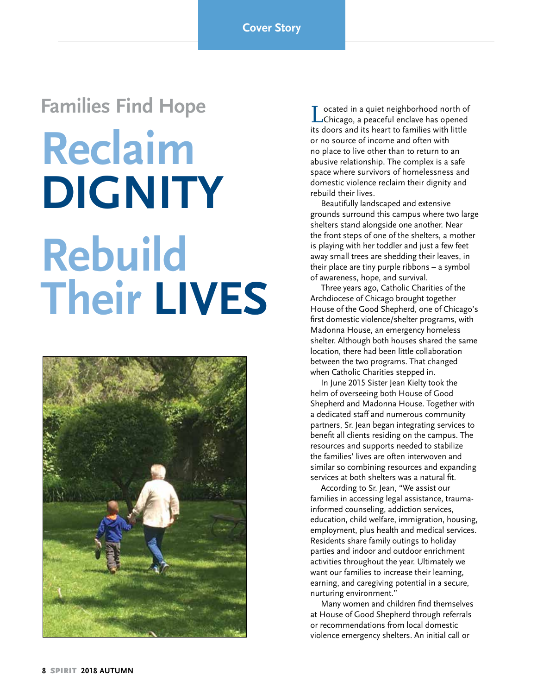# **Families Find Hope Reclaim DIGNITY Rebuild Their LIVES**



Located in a quiet neighborhood north of Chicago, a peaceful enclave has opened its doors and its heart to families with little or no source of income and often with no place to live other than to return to an abusive relationship. The complex is a safe space where survivors of homelessness and domestic violence reclaim their dignity and rebuild their lives.

Beautifully landscaped and extensive grounds surround this campus where two large shelters stand alongside one another. Near the front steps of one of the shelters, a mother is playing with her toddler and just a few feet away small trees are shedding their leaves, in their place are tiny purple ribbons – a symbol of awareness, hope, and survival.

Three years ago, Catholic Charities of the Archdiocese of Chicago brought together House of the Good Shepherd, one of Chicago's first domestic violence/shelter programs, with Madonna House, an emergency homeless shelter. Although both houses shared the same location, there had been little collaboration between the two programs. That changed when Catholic Charities stepped in.

In June 2015 Sister Jean Kielty took the helm of overseeing both House of Good Shepherd and Madonna House. Together with a dedicated staff and numerous community partners, Sr. Jean began integrating services to benefit all clients residing on the campus. The resources and supports needed to stabilize the families' lives are often interwoven and similar so combining resources and expanding services at both shelters was a natural fit.

According to Sr. Jean, "We assist our families in accessing legal assistance, traumainformed counseling, addiction services, education, child welfare, immigration, housing, employment, plus health and medical services. Residents share family outings to holiday parties and indoor and outdoor enrichment activities throughout the year. Ultimately we want our families to increase their learning, earning, and caregiving potential in a secure, nurturing environment."

Many women and children find themselves at House of Good Shepherd through referrals or recommendations from local domestic violence emergency shelters. An initial call or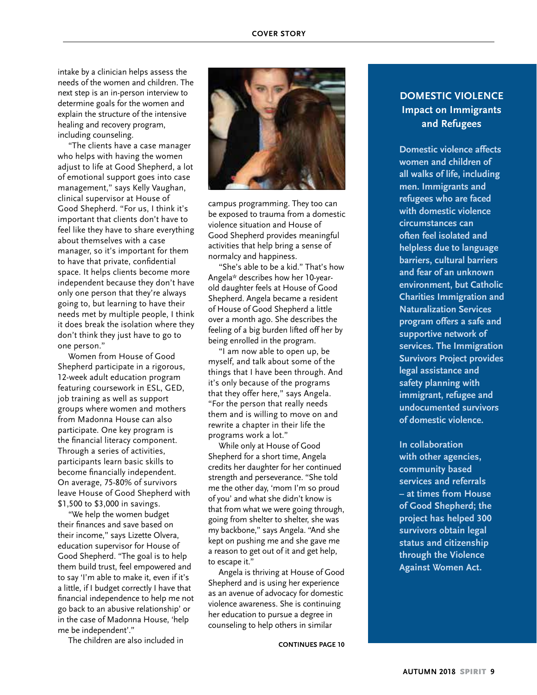intake by a clinician helps assess the needs of the women and children. The next step is an in-person interview to determine goals for the women and explain the structure of the intensive healing and recovery program, including counseling.

"The clients have a case manager who helps with having the women adjust to life at Good Shepherd, a lot of emotional support goes into case management," says Kelly Vaughan, clinical supervisor at House of Good Shepherd. "For us, I think it's important that clients don't have to feel like they have to share everything about themselves with a case manager, so it's important for them to have that private, confidential space. It helps clients become more independent because they don't have only one person that they're always going to, but learning to have their needs met by multiple people, I think it does break the isolation where they don't think they just have to go to one person."

Women from House of Good Shepherd participate in a rigorous, 12-week adult education program featuring coursework in ESL, GED, job training as well as support groups where women and mothers from Madonna House can also participate. One key program is the financial literacy component. Through a series of activities, participants learn basic skills to become financially independent. On average, 75-80% of survivors leave House of Good Shepherd with \$1,500 to \$3,000 in savings.

"We help the women budget their finances and save based on their income," says Lizette Olvera, education supervisor for House of Good Shepherd. "The goal is to help them build trust, feel empowered and to say 'I'm able to make it, even if it's a little, if I budget correctly I have that financial independence to help me not go back to an abusive relationship' or in the case of Madonna House, 'help me be independent'."

The children are also included in



campus programming. They too can be exposed to trauma from a domestic violence situation and House of Good Shepherd provides meaningful activities that help bring a sense of normalcy and happiness.

"She's able to be a kid." That's how Angela\* describes how her 10-yearold daughter feels at House of Good Shepherd. Angela became a resident of House of Good Shepherd a little over a month ago. She describes the feeling of a big burden lifted off her by being enrolled in the program.

"I am now able to open up, be myself, and talk about some of the things that I have been through. And it's only because of the programs that they offer here," says Angela. "For the person that really needs them and is willing to move on and rewrite a chapter in their life the programs work a lot."

While only at House of Good Shepherd for a short time, Angela credits her daughter for her continued strength and perseverance. "She told me the other day, 'mom I'm so proud of you' and what she didn't know is that from what we were going through, going from shelter to shelter, she was my backbone," says Angela. "And she kept on pushing me and she gave me a reason to get out of it and get help, to escape it."

Angela is thriving at House of Good Shepherd and is using her experience as an avenue of advocacy for domestic violence awareness. She is continuing her education to pursue a degree in counseling to help others in similar

**CONTINUES PAGE 10**

#### **DOMESTIC VIOLENCE Impact on Immigrants and Refugees**

**Domestic violence affects women and children of all walks of life, including men. Immigrants and refugees who are faced with domestic violence circumstances can often feel isolated and helpless due to language barriers, cultural barriers and fear of an unknown environment, but Catholic Charities Immigration and Naturalization Services program offers a safe and supportive network of services. The Immigration Survivors Project provides legal assistance and safety planning with immigrant, refugee and undocumented survivors of domestic violence.**

**In collaboration with other agencies, community based services and referrals – at times from House of Good Shepherd; the project has helped 300 survivors obtain legal status and citizenship through the Violence Against Women Act.**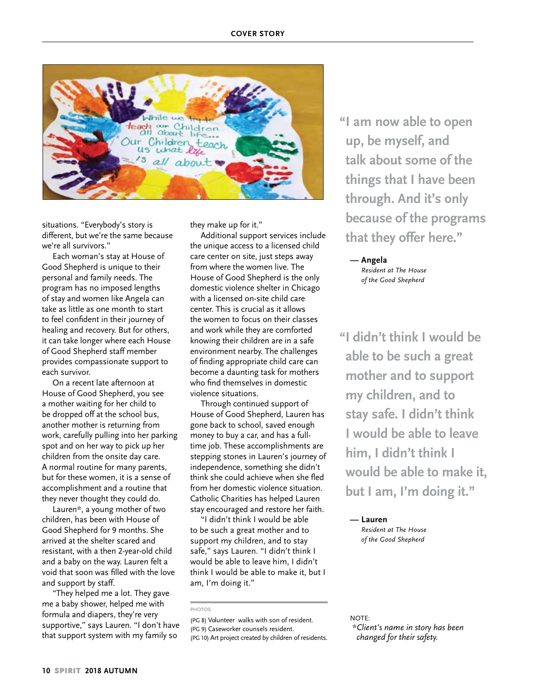

situations. "Everybody's story is different, but we're the same because we're all survivors."

Each woman's stay at House of Good Shepherd is unique to their personal and family needs. The program has no imposed lengths of stay and women like Angela can take as little as one month to start to feel confident in their journey of healing and recovery. But for others, it can take longer where each House of Good Shepherd staff member provides compassionate support to each survivor.

On a recent late afternoon at House of Good Shepherd, you see a mother waiting for her child to be dropped off at the school bus, another mother is returning from work, carefully pulling into her parking spot and on her way to pick up her children from the onsite day care. A normal routine for many parents, but for these women, it is a sense of accomplishment and a routine that they never thought they could do.

Lauren\*, a young mother of two children, has been with House of Good Shepherd for 9 months. She arrived at the shelter scared and resistant, with a then 2-year-old child and a baby on the way. Lauren felt a void that soon was filled with the love and support by staff.

"They helped me a lot. They gave me a baby shower, helped me with formula and diapers, they're very supportive," says Lauren. "I don't have that support system with my family so

they make up for it."

Additional support services include the unique access to a licensed child care center on site, just steps away from where the women live. The House of Good Shepherd is the only domestic violence shelter in Chicago with a licensed on-site child care center. This is crucial as it allows the women to focus on their classes and work while they are comforted knowing their children are in a safe environment nearby. The challenges of finding appropriate child care can become a daunting task for mothers who find themselves in domestic violence situations.

Through continued support of House of Good Shepherd, Lauren has gone back to school, saved enough money to buy a car, and has a fulltime job. These accomplishments are stepping stones in Lauren's journey of independence, something she didn't think she could achieve when she fled from her domestic violence situation. Catholic Charities has helped Lauren stay encouraged and restore her faith.

"I didn't think I would be able to be such a great mother and to support my children, and to stay safe," says Lauren. "I didn't think I would be able to leave him, I didn't think I would be able to make it, but I am, I'm doing it."

**"I am now able to open up, be myself, and talk about some of the things that I have been through. And it's only because of the programs that they offer here."**

**— Angela** *Resident at The House of the Good Shepherd*

**"I didn't think I would be able to be such a great mother and to support my children, and to stay safe. I didn't think I would be able to leave him, I didn't think I would be able to make it, but I am, I'm doing it."**

**— Lauren** *Resident at The House of the Good Shepherd*

#### NOTE:

*\*Client's name in story has been changed for their safety.* 

**PHOTOS**

<sup>(</sup>PG 8) Volunteer walks with son of resident. (PG 9) Caseworker counsels resident. (PG 10) Art project created by children of residents.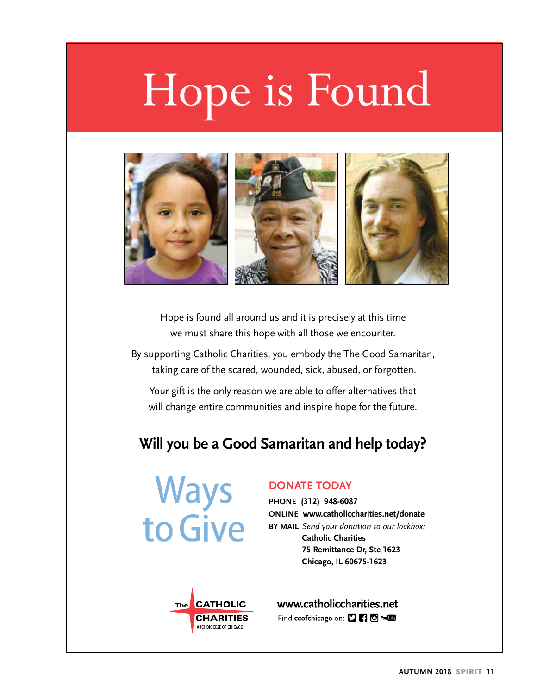# Hope is Found



Hope is found all around us and it is precisely at this time we must share this hope with all those we encounter.

By supporting Catholic Charities, you embody the The Good Samaritan, taking care of the scared, wounded, sick, abused, or forgotten.

Your gift is the only reason we are able to offer alternatives that will change entire communities and inspire hope for the future.

# **Will you be a Good Samaritan and help today?**

**Ways** to Give

#### **DONATE TODAY**

**PHONE (312) 948-6087 ONLINE www.catholiccharities.net/donate BY MAIL** *Send your donation to our lockbox:* **Catholic Charities 75 Remittance Dr, Ste 1623 Chicago, IL 60675-1623**



www.catholiccharities.net Find ccofchicago on: [] [] [] You [1]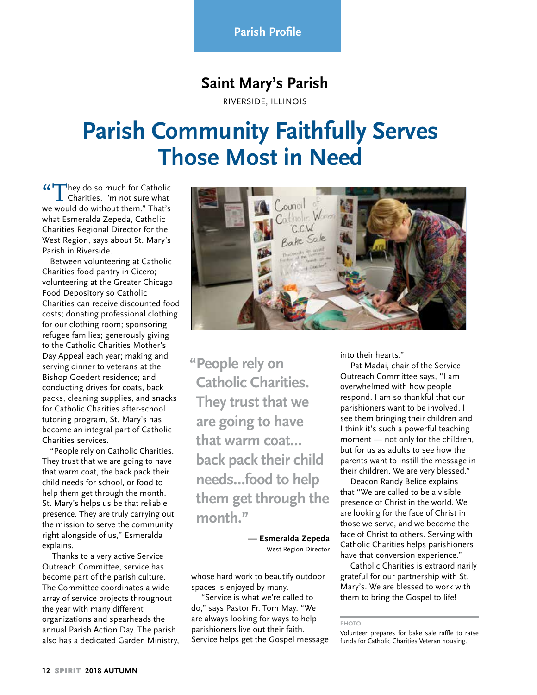## **Saint Mary's Parish**

RIVERSIDE, ILLINOIS

# **Parish Community Faithfully Serves Those Most in Need**

"They do so much for Catholic  $\mathsf L$  Charities. I'm not sure what we would do without them." That's what Esmeralda Zepeda, Catholic Charities Regional Director for the West Region, says about St. Mary's Parish in Riverside.

Between volunteering at Catholic Charities food pantry in Cicero; volunteering at the Greater Chicago Food Depository so Catholic Charities can receive discounted food costs; donating professional clothing for our clothing room; sponsoring refugee families; generously giving to the Catholic Charities Mother's Day Appeal each year; making and serving dinner to veterans at the Bishop Goedert residence; and conducting drives for coats, back packs, cleaning supplies, and snacks for Catholic Charities after-school tutoring program, St. Mary's has become an integral part of Catholic Charities services.

"People rely on Catholic Charities. They trust that we are going to have that warm coat, the back pack their child needs for school, or food to help them get through the month. St. Mary's helps us be that reliable presence. They are truly carrying out the mission to serve the community right alongside of us," Esmeralda explains.

 Thanks to a very active Service Outreach Committee, service has become part of the parish culture. The Committee coordinates a wide array of service projects throughout the year with many different organizations and spearheads the annual Parish Action Day. The parish also has a dedicated Garden Ministry,



**"People rely on Catholic Charities. They trust that we are going to have that warm coat… back pack their child needs…food to help them get through the month."** 

> **— Esmeralda Zepeda** West Region Director

whose hard work to beautify outdoor spaces is enjoyed by many.

 "Service is what we're called to do," says Pastor Fr. Tom May. "We are always looking for ways to help parishioners live out their faith. Service helps get the Gospel message into their hearts."

 Pat Madai, chair of the Service Outreach Committee says, "I am overwhelmed with how people respond. I am so thankful that our parishioners want to be involved. I see them bringing their children and I think it's such a powerful teaching moment — not only for the children, but for us as adults to see how the parents want to instill the message in their children. We are very blessed."

 Deacon Randy Belice explains that "We are called to be a visible presence of Christ in the world. We are looking for the face of Christ in those we serve, and we become the face of Christ to others. Serving with Catholic Charities helps parishioners have that conversion experience."

 Catholic Charities is extraordinarily grateful for our partnership with St. Mary's. We are blessed to work with them to bring the Gospel to life!

**PHOTO**

Volunteer prepares for bake sale raffle to raise funds for Catholic Charities Veteran housing.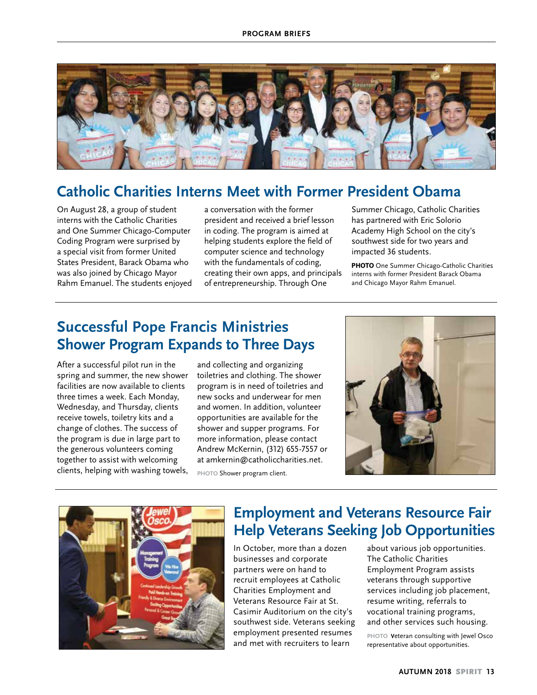

## **Catholic Charities Interns Meet with Former President Obama**

On August 28, a group of student interns with the Catholic Charities and One Summer Chicago-Computer Coding Program were surprised by a special visit from former United States President, Barack Obama who was also joined by Chicago Mayor Rahm Emanuel. The students enjoyed a conversation with the former president and received a brief lesson in coding. The program is aimed at helping students explore the field of computer science and technology with the fundamentals of coding, creating their own apps, and principals of entrepreneurship. Through One

Summer Chicago, Catholic Charities has partnered with Eric Solorio Academy High School on the city's southwest side for two years and impacted 36 students.

**PHOTO** One Summer Chicago-Catholic Charities interns with former President Barack Obama and Chicago Mayor Rahm Emanuel.

## **Successful Pope Francis Ministries Shower Program Expands to Three Days**

After a successful pilot run in the spring and summer, the new shower facilities are now available to clients three times a week. Each Monday, Wednesday, and Thursday, clients receive towels, toiletry kits and a change of clothes. The success of the program is due in large part to the generous volunteers coming together to assist with welcoming clients, helping with washing towels,

and collecting and organizing toiletries and clothing. The shower program is in need of toiletries and new socks and underwear for men and women. In addition, volunteer opportunities are available for the shower and supper programs. For more information, please contact Andrew McKernin, (312) 655-7557 or at amkernin@catholiccharities.net. **PHOTO** Shower program client.





# **Employment and Veterans Resource Fair Help Veterans Seeking Job Opportunities**

In October, more than a dozen businesses and corporate partners were on hand to recruit employees at Catholic Charities Employment and Veterans Resource Fair at St. Casimir Auditorium on the city's southwest side. Veterans seeking employment presented resumes and met with recruiters to learn

about various job opportunities. The Catholic Charities Employment Program assists veterans through supportive services including job placement, resume writing, referrals to vocational training programs, and other services such housing.

**PHOTO V**eteran consulting with Jewel Osco representative about opportunities.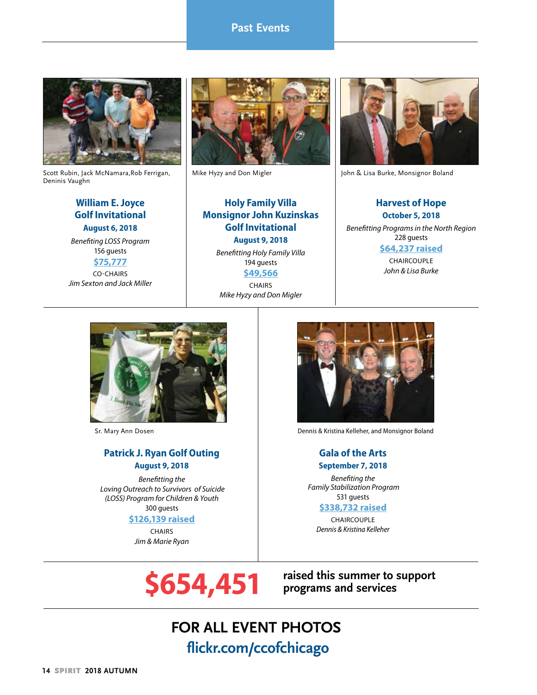## **Past Events**



Scott Rubin, Jack McNamara,Rob Ferrigan, Deninis Vaughn

#### **William E. Joyce Golf Invitational August 6, 2018**

*Benefiting LOSS Program* 156 guests

**\$75,777** CO-CHAIRS *Jim Sexton and Jack Miller*



## **Holy Family Villa Monsignor John Kuzinskas Golf Invitational August 9, 2018**

*Benefitting Holy Family Villa* 194 guests **\$49,566**

**CHAIRS** *Mike Hyzy and Don Migler*



Mike Hyzy and Don Migler John & Lisa Burke, Monsignor Boland

#### **Harvest of Hope October 5, 2018**

*Benefitting Programs in the North Region* 228 guests **\$64,237 raised** CHAIRCOUPLE

*John & Lisa Burke*



#### **Patrick J. Ryan Golf Outing August 9, 2018**

*Benefitting the Loving Outreach to Survivors of Suicide (LOSS) Program for Children & Youth* 300 guests

**\$126,139 raised**

**CHAIRS** *Jim & Marie Ryan* 



Sr. Mary Ann Dosen Dennis & Kristina Kelleher, and Monsignor Boland

#### **Gala of the Arts September 7, 2018**

*Benefiting the Family Stabilization Program* 531 guests

#### **\$338,732 raised**

CHAIRCOUPLE *Dennis & Kristina Kelleher*

**\$654,451** <sup>|</sup> **raised this summer to support programs and services** 

# **FOR ALL EVENT PHOTOS flickr.com/ccofchicago**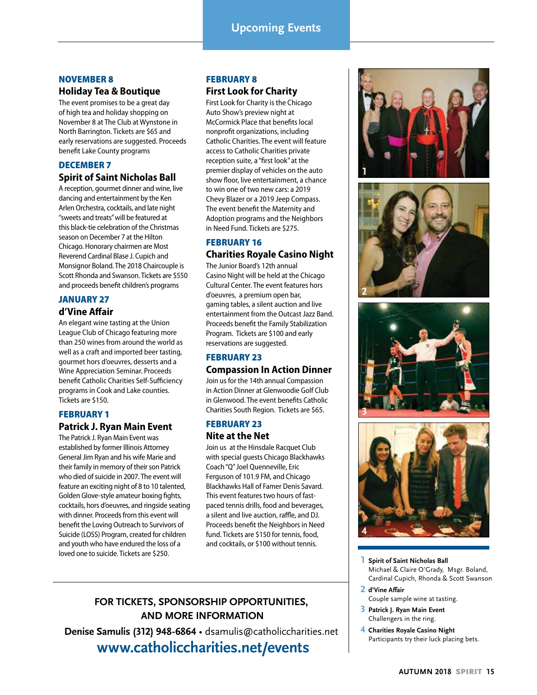#### NOVEMBER 8

#### **Holiday Tea & Boutique**

The event promises to be a great day of high tea and holiday shopping on November 8 at The Club at Wynstone in North Barrington. Tickets are \$65 and early reservations are suggested. Proceeds benefit Lake County programs

#### DECEMBER 7

#### **Spirit of Saint Nicholas Ball**

A reception, gourmet dinner and wine, live dancing and entertainment by the Ken Arlen Orchestra, cocktails, and late night "sweets and treats" will be featured at this black-tie celebration of the Christmas season on December 7 at the Hilton Chicago. Honorary chairmen are Most Reverend Cardinal Blase J. Cupich and Monsignor Boland. The 2018 Chaircouple is Scott Rhonda and Swanson. Tickets are \$550 and proceeds benefit children's programs

#### JANUARY 27 **d'Vine Affair**

An elegant wine tasting at the Union League Club of Chicago featuring more than 250 wines from around the world as well as a craft and imported beer tasting, gourmet hors d'oeuvres, desserts and a Wine Appreciation Seminar. Proceeds benefit Catholic Charities Self-Sufficiency programs in Cook and Lake counties. Tickets are \$150.

#### FEBRUARY 1

#### **Patrick J. Ryan Main Event**

The Patrick J. Ryan Main Event was established by former Illinois Attorney General Jim Ryan and his wife Marie and their family in memory of their son Patrick who died of suicide in 2007. The event will feature an exciting night of 8 to 10 talented, Golden Glove-style amateur boxing fights, cocktails, hors d'oeuvres, and ringside seating with dinner. Proceeds from this event will benefit the Loving Outreach to Survivors of Suicide (LOSS) Program, created for children and youth who have endured the loss of a loved one to suicide. Tickets are \$250.

#### FEBRUARY 8

#### **First Look for Charity**

First Look for Charity is the Chicago Auto Show's preview night at McCormick Place that benefits local nonprofit organizations, including Catholic Charities. The event will feature access to Catholic Charities private reception suite, a "first look" at the premier display of vehicles on the auto show floor, live entertainment, a chance to win one of two new cars: a 2019 Chevy Blazer or a 2019 Jeep Compass. The event benefit the Maternity and Adoption programs and the Neighbors in Need Fund. Tickets are \$275.

#### FEBRUARY 16 **Charities Royale Casino Night**

The Junior Board's 12th annual Casino Night will be held at the Chicago Cultural Center. The event features hors d'oeuvres, a premium open bar, gaming tables, a silent auction and live entertainment from the Outcast Jazz Band. Proceeds benefit the Family Stabilization Program. Tickets are \$100 and early reservations are suggested.

#### FEBRUARY 23

#### **Compassion In Action Dinner**

Join us for the 14th annual Compassion in Action Dinner at Glenwoodie Golf Club in Glenwood. The event benefits Catholic Charities South Region. Tickets are \$65.

#### FEBRUARY 23

#### **Nite at the Net**

Join us at the Hinsdale Racquet Club with special guests Chicago Blackhawks Coach "Q" Joel Quenneville, Eric Ferguson of 101.9 FM, and Chicago Blackhawks Hall of Famer Denis Savard. This event features two hours of fastpaced tennis drills, food and beverages, a silent and live auction, raffle, and DJ. Proceeds benefit the Neighbors in Need fund. Tickets are \$150 for tennis, food, and cocktails, or \$100 without tennis.



**Denise Samulis (312) 948-6864** • dsamulis@catholiccharities.net  **www.catholiccharities.net/events**









- **1 Spirit of Saint Nicholas Ball** Michael & Claire O'Grady, Msgr. Boland, Cardinal Cupich, Rhonda & Scott Swanson
- **2 d'Vine Affair** Couple sample wine at tasting.
- **3 Patrick J. Ryan Main Event** Challengers in the ring.
- **4 Charities Royale Casino Night** Participants try their luck placing bets.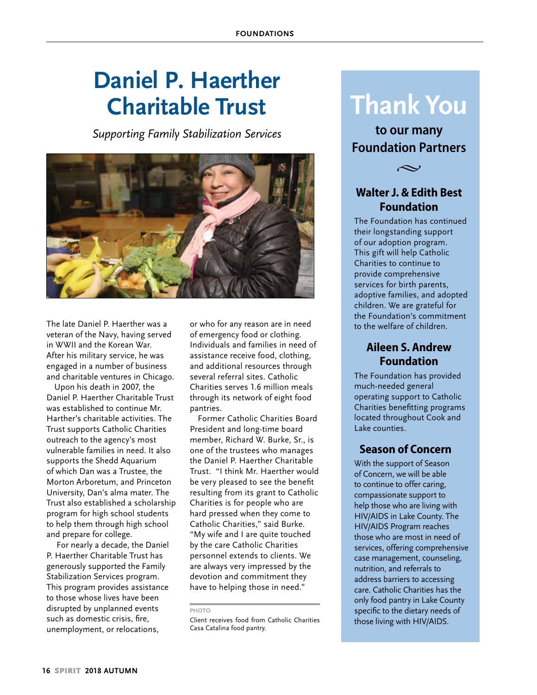# **Daniel P. Haerther Charitable Trust**

*Supporting Family Stabilization Services*



The late Daniel P. Haerther was a veteran of the Navy, having served in WWII and the Korean War. After his military service, he was engaged in a number of business and charitable ventures in Chicago.

Upon his death in 2007, the Daniel P. Haerther Charitable Trust was established to continue Mr. Harther's charitable activities. The Trust supports Catholic Charities outreach to the agency's most vulnerable families in need. It also supports the Shedd Aquarium of which Dan was a Trustee, the Morton Arboretum, and Princeton University, Dan's alma mater. The Trust also established a scholarship program for high school students to help them through high school and prepare for college.

 For nearly a decade, the Daniel P. Haerther Charitable Trust has generously supported the Family Stabilization Services program. This program provides assistance to those whose lives have been disrupted by unplanned events such as domestic crisis, fire, unemployment, or relocations,

or who for any reason are in need of emergency food or clothing. Individuals and families in need of assistance receive food, clothing, and additional resources through several referral sites. Catholic Charities serves 1.6 million meals through its network of eight food pantries.

Former Catholic Charities Board President and long-time board member, Richard W. Burke, Sr., is one of the trustees who manages the Daniel P. Haerther Charitable Trust. "I think Mr. Haerther would be very pleased to see the benefit resulting from its grant to Catholic Charities is for people who are hard pressed when they come to Catholic Charities," said Burke. "My wife and I are quite touched by the care Catholic Charities personnel extends to clients. We are always very impressed by the devotion and commitment they have to helping those in need."

Client receives food from Catholic Charities Casa Catalina food pantry.

# **Thank You**

**to our many Foundation Partners**



#### **Walter J. & Edith Best Foundation**

The Foundation has continued their longstanding support of our adoption program. This gift will help Catholic Charities to continue to provide comprehensive services for birth parents, adoptive families, and adopted children. We are grateful for the Foundation's commitment to the welfare of children.

#### **Aileen S. Andrew Foundation**

The Foundation has provided much-needed general operating support to Catholic Charities benefitting programs located throughout Cook and Lake counties.

#### **Season of Concern**

With the support of Season of Concern, we will be able to continue to offer caring, compassionate support to help those who are living with HIV/AIDS in Lake County. The HIV/AIDS Program reaches those who are most in need of services, offering comprehensive case management, counseling, nutrition, and referrals to address barriers to accessing care. Catholic Charities has the only food pantry in Lake County specific to the dietary needs of those living with HIV/AIDS.

**PHOTO**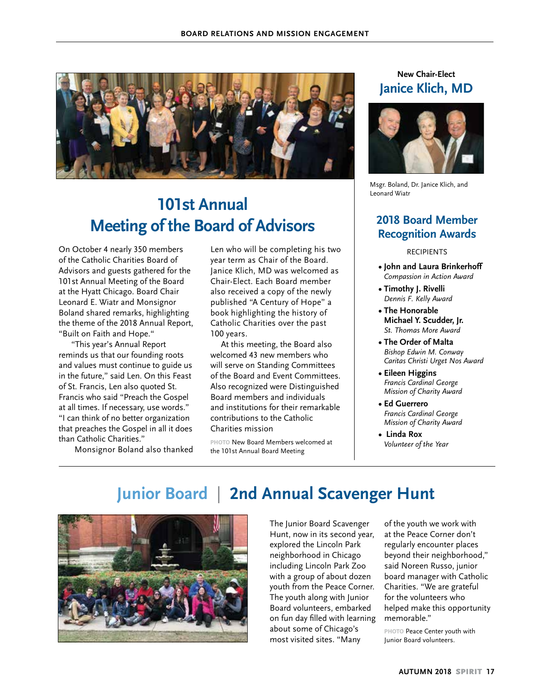

# **101st Annual Meeting of the Board of Advisors**

On October 4 nearly 350 members of the Catholic Charities Board of Advisors and guests gathered for the 101st Annual Meeting of the Board at the Hyatt Chicago. Board Chair Leonard E. Wiatr and Monsignor Boland shared remarks, highlighting the theme of the 2018 Annual Report, "Built on Faith and Hope."

 "This year's Annual Report reminds us that our founding roots and values must continue to guide us in the future," said Len. On this Feast of St. Francis, Len also quoted St. Francis who said "Preach the Gospel at all times. If necessary, use words." "I can think of no better organization that preaches the Gospel in all it does than Catholic Charities."

Monsignor Boland also thanked

Len who will be completing his two year term as Chair of the Board. Janice Klich, MD was welcomed as Chair-Elect. Each Board member also received a copy of the newly published "A Century of Hope" a book highlighting the history of Catholic Charities over the past 100 years.

At this meeting, the Board also welcomed 43 new members who will serve on Standing Committees of the Board and Event Committees. Also recognized were Distinguished Board members and individuals and institutions for their remarkable contributions to the Catholic Charities mission

**PHOTO** New Board Members welcomed at the 101st Annual Board Meeting

#### **New Chair-Elect Janice Klich, MD**



Msgr. Boland, Dr. Janice Klich, and Leonard Wiatr

#### **2018 Board Member Recognition Awards**

#### RECIPIENTS

- **John and Laura Brinkerhoff**  *Compassion in Action Award*
- **Timothy J. Rivelli**  *Dennis F. Kelly Award*
- **The Honorable Michael Y. Scudder, Jr.** *St. Thomas More Award*
- **The Order of Malta** *Bishop Edwin M. Conway Caritas Christi Urget Nos Award*
- **Eileen Higgins** *Francis Cardinal George Mission of Charity Award*
- **Ed Guerrero** *Francis Cardinal George Mission of Charity Award*
- **Linda Rox** *Volunteer of the Year*

# **Junior Board** | **2nd Annual Scavenger Hunt**



The Junior Board Scavenger Hunt, now in its second year, explored the Lincoln Park neighborhood in Chicago including Lincoln Park Zoo with a group of about dozen youth from the Peace Corner. The youth along with Junior Board volunteers, embarked on fun day filled with learning about some of Chicago's most visited sites. "Many

of the youth we work with at the Peace Corner don't regularly encounter places beyond their neighborhood," said Noreen Russo, junior board manager with Catholic Charities. "We are grateful for the volunteers who helped make this opportunity memorable."

**PHOTO** Peace Center youth with Junior Board volunteers.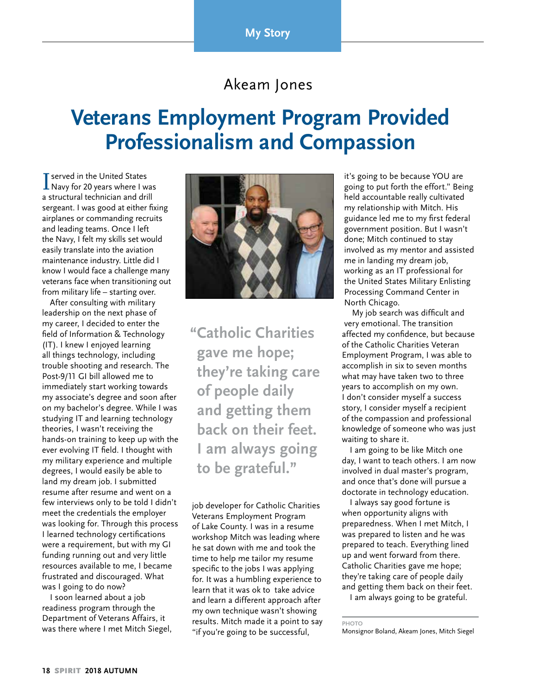## Akeam Jones

# **Veterans Employment Program Provided Professionalism and Compassion**

**T** served in the United States<br>Navy for 20 years where I was a structural technician and drill sergeant. I was good at either fixing airplanes or commanding recruits and leading teams. Once I left the Navy, I felt my skills set would easily translate into the aviation maintenance industry. Little did I know I would face a challenge many veterans face when transitioning out from military life – starting over.

After consulting with military leadership on the next phase of my career, I decided to enter the field of Information & Technology (IT). I knew I enjoyed learning all things technology, including trouble shooting and research. The Post-9/11 GI bill allowed me to immediately start working towards my associate's degree and soon after on my bachelor's degree. While I was studying IT and learning technology theories, I wasn't receiving the hands-on training to keep up with the ever evolving IT field. I thought with my military experience and multiple degrees, I would easily be able to land my dream job. I submitted resume after resume and went on a few interviews only to be told I didn't meet the credentials the employer was looking for. Through this process I learned technology certifications were a requirement, but with my GI funding running out and very little resources available to me, I became frustrated and discouraged. What was I going to do now?

I soon learned about a job readiness program through the Department of Veterans Affairs, it was there where I met Mitch Siegel,



**"Catholic Charities gave me hope; they're taking care of people daily and getting them back on their feet. I am always going to be grateful."**

job developer for Catholic Charities Veterans Employment Program of Lake County. I was in a resume workshop Mitch was leading where he sat down with me and took the time to help me tailor my resume specific to the jobs I was applying for. It was a humbling experience to learn that it was ok to take advice and learn a different approach after my own technique wasn't showing results. Mitch made it a point to say "if you're going to be successful,

it's going to be because YOU are going to put forth the effort." Being held accountable really cultivated my relationship with Mitch. His guidance led me to my first federal government position. But I wasn't done; Mitch continued to stay involved as my mentor and assisted me in landing my dream job, working as an IT professional for the United States Military Enlisting Processing Command Center in North Chicago.

My job search was difficult and very emotional. The transition affected my confidence, but because of the Catholic Charities Veteran Employment Program, I was able to accomplish in six to seven months what may have taken two to three years to accomplish on my own. I don't consider myself a success story, I consider myself a recipient of the compassion and professional knowledge of someone who was just waiting to share it.

I am going to be like Mitch one day, I want to teach others. I am now involved in dual master's program, and once that's done will pursue a doctorate in technology education.

I always say good fortune is when opportunity aligns with preparedness. When I met Mitch, I was prepared to listen and he was prepared to teach. Everything lined up and went forward from there. Catholic Charities gave me hope; they're taking care of people daily and getting them back on their feet.

I am always going to be grateful.

Monsignor Boland, Akeam Jones, Mitch Siegel

**PHOTO**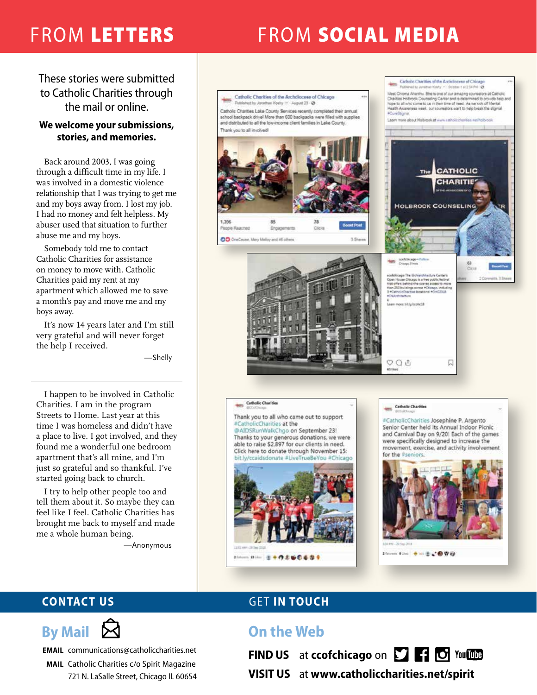# FROM LETTERS FROM SOCIAL MEDIA

These stories were submitted to Catholic Charities through the mail or online.

#### **We welcome your submissions, stories, and memories.**

Back around 2003, I was going through a difficult time in my life. I was involved in a domestic violence relationship that I was trying to get me and my boys away from. I lost my job. I had no money and felt helpless. My abuser used that situation to further abuse me and my boys.

Somebody told me to contact Catholic Charities for assistance on money to move with. Catholic Charities paid my rent at my apartment which allowed me to save a month's pay and move me and my boys away.

It's now 14 years later and I'm still very grateful and will never forget the help I received.

—Shelly

I happen to be involved in Catholic Charities. I am in the program Streets to Home. Last year at this time I was homeless and didn't have a place to live. I got involved, and they found me a wonderful one bedroom apartment that's all mine, and I'm just so grateful and so thankful. I've started going back to church.

I try to help other people too and tell them about it. So maybe they can feel like I feel. Catholic Charities has brought me back to myself and made me a whole human being.

—Anonymous





**EMAIL** communications@catholiccharities.net

**MAIL** Catholic Charities c/o Spirit Magazine 721 N. LaSalle Street, Chicago IL 60654

# **CONTACT US GET IN TOUCH**

# **On the Web**

**FIND US** at **ccofchicago** on **P FIC** You this



**VISIT US** at **www.catholiccharities.net/spirit**